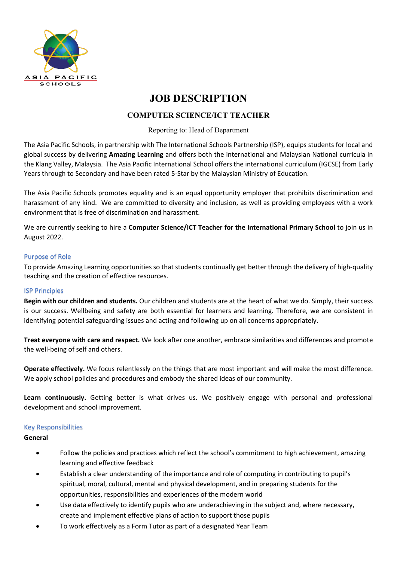

# **JOB DESCRIPTION**

# **COMPUTER SCIENCE/ICT TEACHER**

# Reporting to: Head of Department

The Asia Pacific Schools, in partnership with The International Schools Partnership (ISP), equips students for local and global success by delivering **Amazing Learning** and offers both the international and Malaysian National curricula in the Klang Valley, Malaysia. The Asia Pacific International School offers the international curriculum (IGCSE) from Early Years through to Secondary and have been rated 5-Star by the Malaysian Ministry of Education.

The Asia Pacific Schools promotes equality and is an equal opportunity employer that prohibits discrimination and harassment of any kind. We are committed to diversity and inclusion, as well as providing employees with a work environment that is free of discrimination and harassment.

We are currently seeking to hire a **Computer Science/ICT Teacher for the International Primary School** to join us in August 2022.

## Purpose of Role

To provide Amazing Learning opportunities so that students continually get better through the delivery of high-quality teaching and the creation of effective resources.

## ISP Principles

**Begin with our children and students.** Our children and students are at the heart of what we do. Simply, their success is our success. Wellbeing and safety are both essential for learners and learning. Therefore, we are consistent in identifying potential safeguarding issues and acting and following up on all concerns appropriately.

**Treat everyone with care and respect.** We look after one another, embrace similarities and differences and promote the well-being of self and others.

**Operate effectively.** We focus relentlessly on the things that are most important and will make the most difference. We apply school policies and procedures and embody the shared ideas of our community.

**Learn continuously.** Getting better is what drives us. We positively engage with personal and professional development and school improvement.

## Key Responsibilities

**General**

- Follow the policies and practices which reflect the school's commitment to high achievement, amazing learning and effective feedback
- Establish a clear understanding of the importance and role of computing in contributing to pupil's spiritual, moral, cultural, mental and physical development, and in preparing students for the opportunities, responsibilities and experiences of the modern world
- Use data effectively to identify pupils who are underachieving in the subject and, where necessary, create and implement effective plans of action to support those pupils
- To work effectively as a Form Tutor as part of a designated Year Team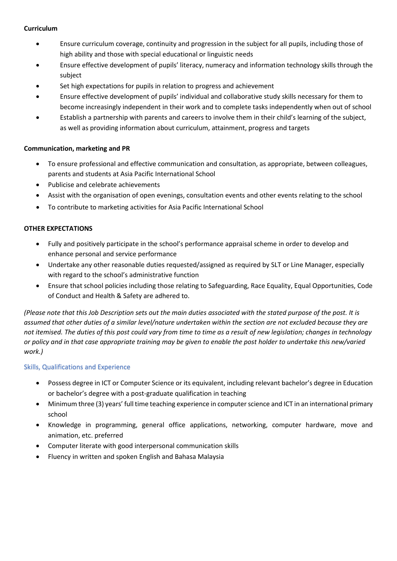## **Curriculum**

- Ensure curriculum coverage, continuity and progression in the subject for all pupils, including those of high ability and those with special educational or linguistic needs
- Ensure effective development of pupils' literacy, numeracy and information technology skills through the subject
- Set high expectations for pupils in relation to progress and achievement
- Ensure effective development of pupils' individual and collaborative study skills necessary for them to become increasingly independent in their work and to complete tasks independently when out of school
- Establish a partnership with parents and careers to involve them in their child's learning of the subject, as well as providing information about curriculum, attainment, progress and targets

## **Communication, marketing and PR**

- To ensure professional and effective communication and consultation, as appropriate, between colleagues, parents and students at Asia Pacific International School
- Publicise and celebrate achievements
- Assist with the organisation of open evenings, consultation events and other events relating to the school
- To contribute to marketing activities for Asia Pacific International School

### **OTHER EXPECTATIONS**

- Fully and positively participate in the school's performance appraisal scheme in order to develop and enhance personal and service performance
- Undertake any other reasonable duties requested/assigned as required by SLT or Line Manager, especially with regard to the school's administrative function
- Ensure that school policies including those relating to Safeguarding, Race Equality, Equal Opportunities, Code of Conduct and Health & Safety are adhered to.

*(Please note that this Job Description sets out the main duties associated with the stated purpose of the post. It is assumed that other duties of a similar level/nature undertaken within the section are not excluded because they are not itemised. The duties of this post could vary from time to time as a result of new legislation; changes in technology or policy and in that case appropriate training may be given to enable the post holder to undertake this new/varied work.)*

#### Skills, Qualifications and Experience

- Possess degree in ICT or Computer Science or its equivalent, including relevant bachelor's degree in Education or bachelor's degree with a post-graduate qualification in teaching
- Minimum three (3) years' full time teaching experience in computer science and ICT in an international primary school
- Knowledge in programming, general office applications, networking, computer hardware, move and animation, etc. preferred
- Computer literate with good interpersonal communication skills
- Fluency in written and spoken English and Bahasa Malaysia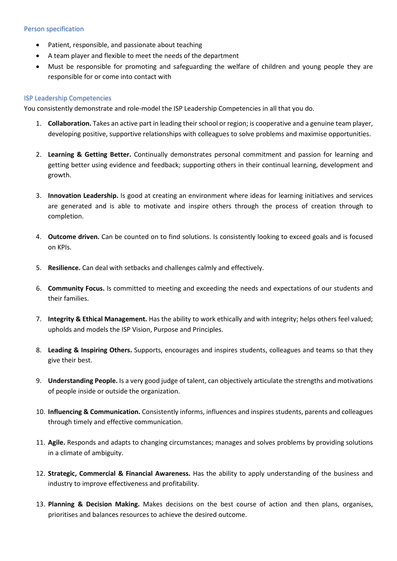#### Person specification

- Patient, responsible, and passionate about teaching
- A team player and flexible to meet the needs of the department
- Must be responsible for promoting and safeguarding the welfare of children and young people they are responsible for or come into contact with

#### ISP Leadership Competencies

You consistently demonstrate and role-model the ISP Leadership Competencies in all that you do.

- 1. **Collaboration.** Takes an active part in leading their school or region; is cooperative and a genuine team player, developing positive, supportive relationships with colleagues to solve problems and maximise opportunities.
- 2. **Learning & Getting Better.** Continually demonstrates personal commitment and passion for learning and getting better using evidence and feedback; supporting others in their continual learning, development and growth.
- 3. **Innovation Leadership.** Is good at creating an environment where ideas for learning initiatives and services are generated and is able to motivate and inspire others through the process of creation through to completion.
- 4. **Outcome driven.** Can be counted on to find solutions. Is consistently looking to exceed goals and is focused on KPIs.
- 5. **Resilience.** Can deal with setbacks and challenges calmly and effectively.
- 6. **Community Focus.** Is committed to meeting and exceeding the needs and expectations of our students and their families.
- 7. **Integrity & Ethical Management.** Has the ability to work ethically and with integrity; helps others feel valued; upholds and models the ISP Vision, Purpose and Principles.
- 8. **Leading & Inspiring Others.** Supports, encourages and inspires students, colleagues and teams so that they give their best.
- 9. **Understanding People.** Is a very good judge of talent, can objectively articulate the strengths and motivations of people inside or outside the organization.
- 10. **Influencing & Communication.** Consistently informs, influences and inspires students, parents and colleagues through timely and effective communication.
- 11. **Agile.** Responds and adapts to changing circumstances; manages and solves problems by providing solutions in a climate of ambiguity.
- 12. **Strategic, Commercial & Financial Awareness.** Has the ability to apply understanding of the business and industry to improve effectiveness and profitability.
- 13. **Planning & Decision Making.** Makes decisions on the best course of action and then plans, organises, prioritises and balances resources to achieve the desired outcome.